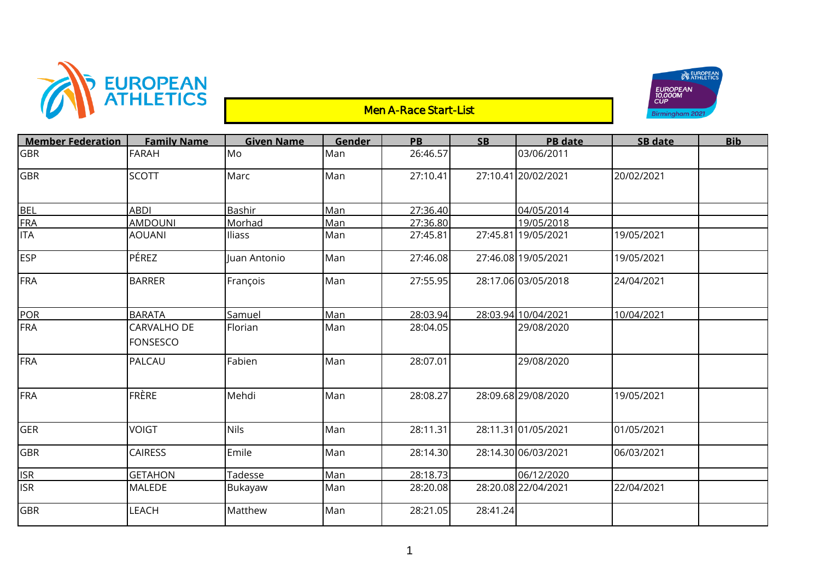

## Men A-Race Start-List



| <b>Member Federation</b> | <b>Family Name</b>             | <b>Given Name</b> | Gender | <b>PB</b> | <b>SB</b> | <b>PB</b> date      | <b>SB date</b> | <b>Bib</b> |
|--------------------------|--------------------------------|-------------------|--------|-----------|-----------|---------------------|----------------|------------|
| <b>GBR</b>               | <b>FARAH</b>                   | Mo                | Man    | 26:46.57  |           | 03/06/2011          |                |            |
| <b>GBR</b>               | <b>SCOTT</b>                   | Marc              | Man    | 27:10.41  |           | 27:10.41 20/02/2021 | 20/02/2021     |            |
| <b>BEL</b>               | <b>ABDI</b>                    | Bashir            | Man    | 27:36.40  |           | 04/05/2014          |                |            |
| <b>FRA</b>               | <b>AMDOUNI</b>                 | Morhad            | Man    | 27:36.80  |           | 19/05/2018          |                |            |
| <b>ITA</b>               | <b>AOUANI</b>                  | Iliass            | Man    | 27:45.81  |           | 27:45.81 19/05/2021 | 19/05/2021     |            |
| <b>ESP</b>               | PÉREZ                          | Juan Antonio      | Man    | 27:46.08  |           | 27:46.08 19/05/2021 | 19/05/2021     |            |
| FRA                      | <b>BARRER</b>                  | François          | Man    | 27:55.95  |           | 28:17.06 03/05/2018 | 24/04/2021     |            |
| POR                      | <b>BARATA</b>                  | Samuel            | Man    | 28:03.94  |           | 28:03.94 10/04/2021 | 10/04/2021     |            |
| FRA                      | CARVALHO DE<br><b>FONSESCO</b> | Florian           | Man    | 28:04.05  |           | 29/08/2020          |                |            |
| FRA                      | PALCAU                         | Fabien            | Man    | 28:07.01  |           | 29/08/2020          |                |            |
| FRA                      | <b>FRÈRE</b>                   | Mehdi             | Man    | 28:08.27  |           | 28:09.68 29/08/2020 | 19/05/2021     |            |
| GER                      | <b>VOIGT</b>                   | <b>Nils</b>       | Man    | 28:11.31  |           | 28:11.31 01/05/2021 | 01/05/2021     |            |
| GBR                      | <b>CAIRESS</b>                 | Emile             | Man    | 28:14.30  |           | 28:14.30 06/03/2021 | 06/03/2021     |            |
| <b>ISR</b>               | <b>GETAHON</b>                 | Tadesse           | Man    | 28:18.73  |           | 06/12/2020          |                |            |
| <b>ISR</b>               | <b>MALEDE</b>                  | Bukayaw           | Man    | 28:20.08  |           | 28:20.08 22/04/2021 | 22/04/2021     |            |
| <b>GBR</b>               | <b>LEACH</b>                   | Matthew           | Man    | 28:21.05  | 28:41.24  |                     |                |            |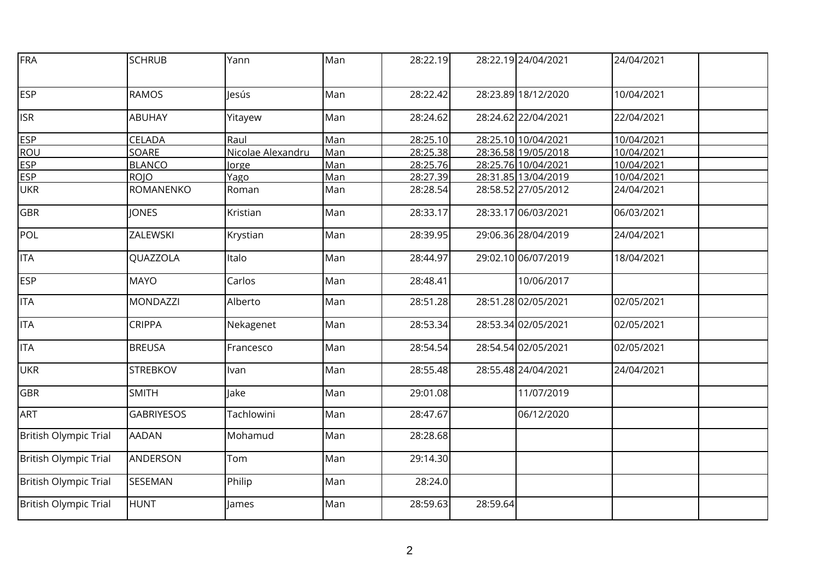| FRA                          | <b>SCHRUB</b>     | Yann              | Man | 28:22.19 |          | 28:22.19 24/04/2021 | 24/04/2021 |  |
|------------------------------|-------------------|-------------------|-----|----------|----------|---------------------|------------|--|
| <b>ESP</b>                   | <b>RAMOS</b>      | lesús             | Man | 28:22.42 |          | 28:23.89 18/12/2020 | 10/04/2021 |  |
| <b>ISR</b>                   | <b>ABUHAY</b>     | Yitayew           | Man | 28:24.62 |          | 28:24.62 22/04/2021 | 22/04/2021 |  |
| <b>ESP</b>                   | CELADA            | Raul              | Man | 28:25.10 |          | 28:25.10 10/04/2021 | 10/04/2021 |  |
| <b>ROU</b>                   | SOARE             | Nicolae Alexandru | Man | 28:25.38 |          | 28:36.58 19/05/2018 | 10/04/2021 |  |
| <b>ESP</b>                   | <b>BLANCO</b>     | Jorge             | Man | 28:25.76 |          | 28:25.76 10/04/2021 | 10/04/2021 |  |
| <b>ESP</b>                   | <b>ROJO</b>       | Yago              | Man | 28:27.39 |          | 28:31.85 13/04/2019 | 10/04/2021 |  |
| <b>UKR</b>                   | ROMANENKO         | Roman             | Man | 28:28.54 |          | 28:58.52 27/05/2012 | 24/04/2021 |  |
| <b>GBR</b>                   | <b>JONES</b>      | Kristian          | Man | 28:33.17 |          | 28:33.17 06/03/2021 | 06/03/2021 |  |
| POL                          | ZALEWSKI          | Krystian          | Man | 28:39.95 |          | 29:06.36 28/04/2019 | 24/04/2021 |  |
| <b>ITA</b>                   | QUAZZOLA          | Italo             | Man | 28:44.97 |          | 29:02.10 06/07/2019 | 18/04/2021 |  |
| <b>ESP</b>                   | <b>MAYO</b>       | Carlos            | Man | 28:48.41 |          | 10/06/2017          |            |  |
| <b>ITA</b>                   | <b>MONDAZZI</b>   | Alberto           | Man | 28:51.28 |          | 28:51.28 02/05/2021 | 02/05/2021 |  |
| <b>ITA</b>                   | <b>CRIPPA</b>     | Nekagenet         | Man | 28:53.34 |          | 28:53.34 02/05/2021 | 02/05/2021 |  |
| <b>ITA</b>                   | <b>BREUSA</b>     | Francesco         | Man | 28:54.54 |          | 28:54.54 02/05/2021 | 02/05/2021 |  |
| <b>UKR</b>                   | <b>STREBKOV</b>   | Ivan              | Man | 28:55.48 |          | 28:55.48 24/04/2021 | 24/04/2021 |  |
| <b>GBR</b>                   | <b>SMITH</b>      | lake              | Man | 29:01.08 |          | 11/07/2019          |            |  |
| <b>ART</b>                   | <b>GABRIYESOS</b> | Tachlowini        | Man | 28:47.67 |          | 06/12/2020          |            |  |
| <b>British Olympic Trial</b> | <b>AADAN</b>      | Mohamud           | Man | 28:28.68 |          |                     |            |  |
| <b>British Olympic Trial</b> | ANDERSON          | Tom               | Man | 29:14.30 |          |                     |            |  |
| British Olympic Trial        | SESEMAN           | Philip            | Man | 28:24.0  |          |                     |            |  |
| <b>British Olympic Trial</b> | <b>HUNT</b>       | James             | Man | 28:59.63 | 28:59.64 |                     |            |  |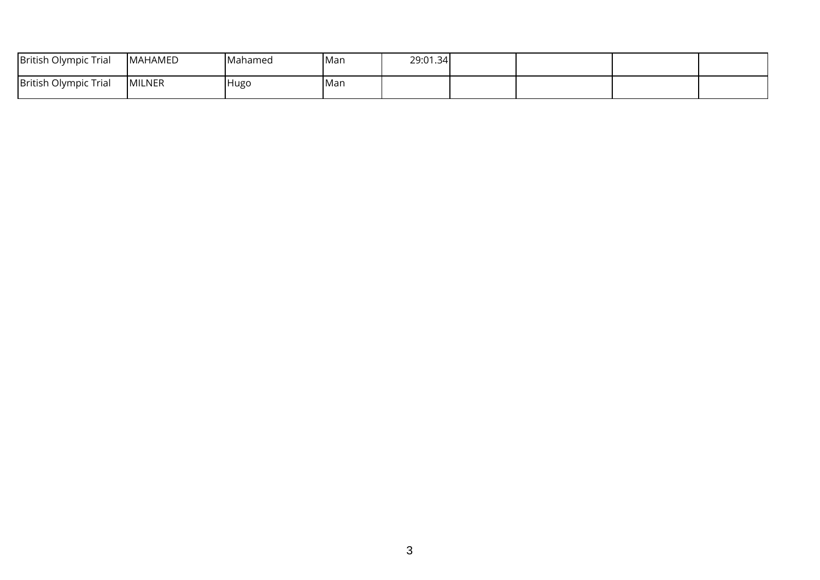| British Olympic Trial | <b>MAHAMED</b> | <b>Mahamed</b> | lMan | 29:01.34 |  |  |
|-----------------------|----------------|----------------|------|----------|--|--|
| British Olympic Trial | <b>MILNER</b>  | <b>Hugo</b>    | Man  |          |  |  |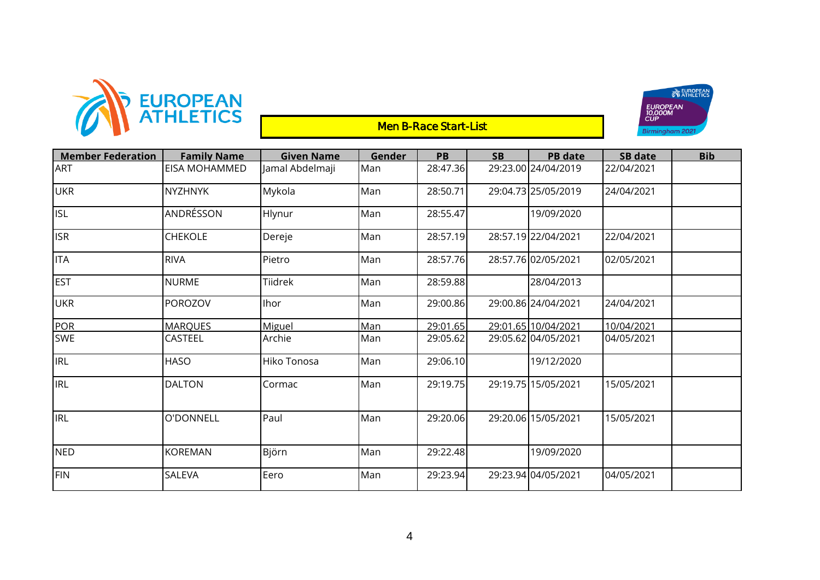

## **Men B-Race Start-List**



| <b>Member Federation</b> | <b>Family Name</b>   | <b>Given Name</b> | Gender     | <b>PB</b> | <b>SB</b> | <b>PB</b> date      | SB date    | <b>Bib</b> |
|--------------------------|----------------------|-------------------|------------|-----------|-----------|---------------------|------------|------------|
| <b>ART</b>               | <b>EISA MOHAMMED</b> | Jamal Abdelmaji   | Man        | 28:47.36  |           | 29:23.00 24/04/2019 | 22/04/2021 |            |
| <b>UKR</b>               | <b>NYZHNYK</b>       | Mykola            | Man        | 28:50.71  |           | 29:04.73 25/05/2019 | 24/04/2021 |            |
| <b>ISL</b>               | ANDRÉSSON            | Hlynur            | Man        | 28:55.47  |           | 19/09/2020          |            |            |
| <b>ISR</b>               | CHEKOLE              | Dereje            | Man        | 28:57.19  |           | 28:57.19 22/04/2021 | 22/04/2021 |            |
| <b>ITA</b>               | <b>RIVA</b>          | Pietro            | Man        | 28:57.76  |           | 28:57.76 02/05/2021 | 02/05/2021 |            |
| <b>EST</b>               | <b>NURME</b>         | Tiidrek           | Man        | 28:59.88  |           | 28/04/2013          |            |            |
| <b>UKR</b>               | POROZOV              | Ihor              | Man        | 29:00.86  |           | 29:00.86 24/04/2021 | 24/04/2021 |            |
| <b>POR</b>               | <b>MARQUES</b>       | Miguel            | <b>Man</b> | 29:01.65  |           | 29:01.65 10/04/2021 | 10/04/2021 |            |
| <b>SWE</b>               | CASTEEL              | Archie            | Man        | 29:05.62  |           | 29:05.62 04/05/2021 | 04/05/2021 |            |
| <b>IRL</b>               | <b>HASO</b>          | Hiko Tonosa       | Man        | 29:06.10  |           | 19/12/2020          |            |            |
| <b>IRL</b>               | <b>DALTON</b>        | Cormac            | Man        | 29:19.75  |           | 29:19.75 15/05/2021 | 15/05/2021 |            |
| <b>IRL</b>               | O'DONNELL            | Paul              | Man        | 29:20.06  |           | 29:20.06 15/05/2021 | 15/05/2021 |            |
| <b>NED</b>               | <b>KOREMAN</b>       | Björn             | Man        | 29:22.48  |           | 19/09/2020          |            |            |
| <b>FIN</b>               | SALEVA               | Eero              | Man        | 29:23.94  |           | 29:23.94 04/05/2021 | 04/05/2021 |            |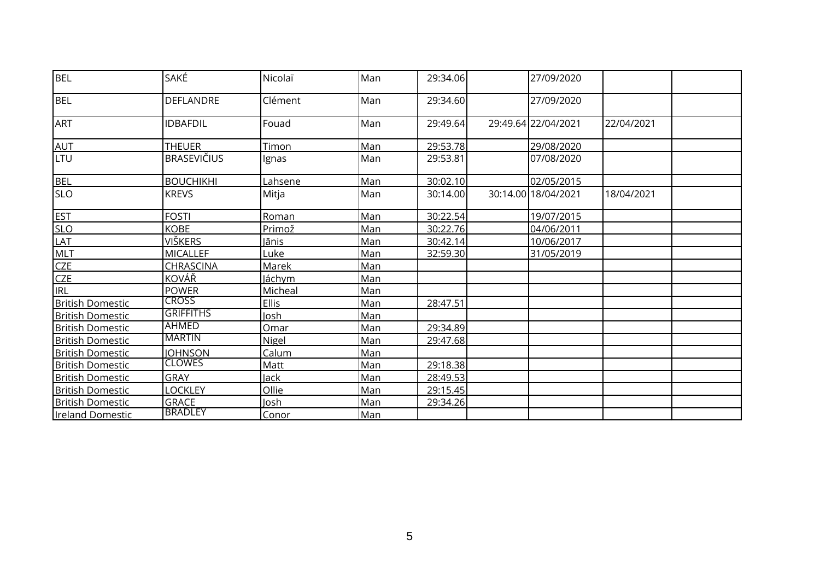| <b>BEL</b>              | SAKÉ               | Nicolaï      | Man | 29:34.06 | 27/09/2020          |            |  |
|-------------------------|--------------------|--------------|-----|----------|---------------------|------------|--|
| <b>BEL</b>              | <b>DEFLANDRE</b>   | Clément      | Man | 29:34.60 | 27/09/2020          |            |  |
| <b>ART</b>              | IDBAFDIL           | Fouad        | Man | 29:49.64 | 29:49.64 22/04/2021 | 22/04/2021 |  |
| <b>AUT</b>              | <b>THEUER</b>      | Timon        | Man | 29:53.78 | 29/08/2020          |            |  |
| LTU                     | <b>BRASEVIČIUS</b> | Ignas        | Man | 29:53.81 | 07/08/2020          |            |  |
| <b>BEL</b>              | <b>BOUCHIKHI</b>   | Lahsene      | Man | 30:02.10 | 02/05/2015          |            |  |
| <b>SLO</b>              | <b>KREVS</b>       | Mitja        | Man | 30:14.00 | 30:14.00 18/04/2021 | 18/04/2021 |  |
| <b>EST</b>              | <b>FOSTI</b>       | Roman        | Man | 30:22.54 | 19/07/2015          |            |  |
| <b>SLO</b>              | <b>KOBE</b>        | Primož       | Man | 30:22.76 | 04/06/2011          |            |  |
| LAT                     | VIŠKERS            | Jānis        | Man | 30:42.14 | 10/06/2017          |            |  |
| <b>MLT</b>              | <b>MICALLEF</b>    | Luke         | Man | 32:59.30 | 31/05/2019          |            |  |
| <b>CZE</b>              | <b>CHRASCINA</b>   | Marek        | Man |          |                     |            |  |
| <b>CZE</b>              | KOVÁŘ              | láchym       | Man |          |                     |            |  |
| <b>IRL</b>              | <b>POWER</b>       | Micheal      | Man |          |                     |            |  |
| <b>British Domestic</b> | <b>CROSS</b>       | <b>Ellis</b> | Man | 28:47.51 |                     |            |  |
| <b>British Domestic</b> | <b>GRIFFITHS</b>   | losh         | Man |          |                     |            |  |
| <b>British Domestic</b> | <b>AHMED</b>       | Omar         | Man | 29:34.89 |                     |            |  |
| <b>British Domestic</b> | <b>MARTIN</b>      | Nigel        | Man | 29:47.68 |                     |            |  |
| <b>British Domestic</b> | <b>IOHNSON</b>     | Calum        | Man |          |                     |            |  |
| <b>British Domestic</b> | <b>CLOWES</b>      | Matt         | Man | 29:18.38 |                     |            |  |
| <b>British Domestic</b> | <b>GRAY</b>        | Jack         | Man | 28:49.53 |                     |            |  |
| <b>British Domestic</b> | LOCKLEY            | Ollie        | Man | 29:15.45 |                     |            |  |
| <b>British Domestic</b> | <b>GRACE</b>       | Josh         | Man | 29:34.26 |                     |            |  |
| <b>Ireland Domestic</b> | <b>BRADLEY</b>     | Conor        | Man |          |                     |            |  |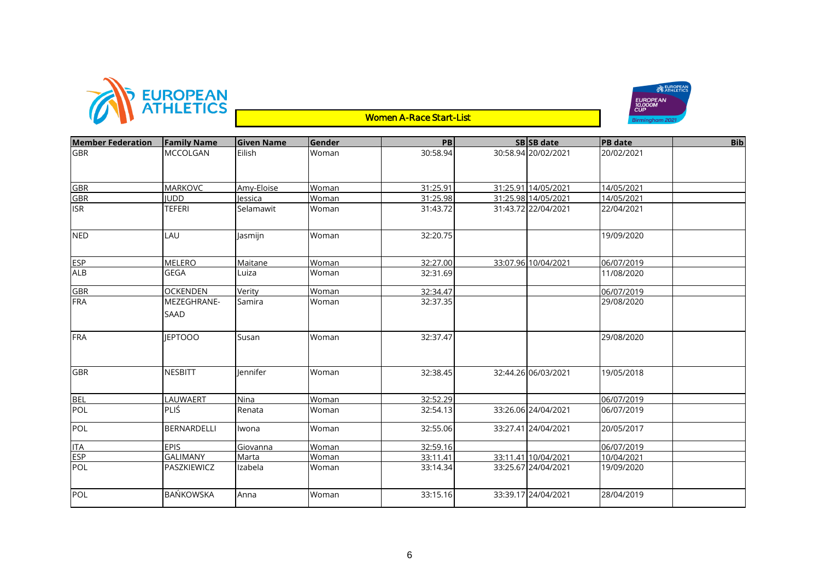





| <b>Member Federation</b> | <b>Family Name</b> | <b>Given Name</b> | Gender | PB       | SB SB date          | <b>PB</b> date | <b>Bib</b> |
|--------------------------|--------------------|-------------------|--------|----------|---------------------|----------------|------------|
| <b>GBR</b>               | <b>MCCOLGAN</b>    | Eilish            | Woman  | 30:58.94 | 30:58.94 20/02/2021 | 20/02/2021     |            |
|                          |                    |                   |        |          |                     |                |            |
|                          |                    |                   |        |          |                     |                |            |
| <b>GBR</b>               | <b>MARKOVC</b>     | Amy-Eloise        | Woman  | 31:25.91 | 31:25.91 14/05/2021 | 14/05/2021     |            |
| <b>GBR</b>               | <b>IUDD</b>        | lessica           | Woman  | 31:25.98 | 31:25.98 14/05/2021 | 14/05/2021     |            |
| <b>ISR</b>               | TEFERI             | Selamawit         | Woman  | 31:43.72 | 31:43.72 22/04/2021 | 22/04/2021     |            |
|                          |                    |                   |        |          |                     |                |            |
| <b>NED</b>               | LAU                | Jasmijn           | Woman  | 32:20.75 |                     | 19/09/2020     |            |
|                          |                    |                   |        |          |                     |                |            |
|                          |                    |                   |        |          |                     |                |            |
| <b>ESP</b>               | <b>MELERO</b>      | Maitane           | Woman  | 32:27.00 | 33:07.96 10/04/2021 | 06/07/2019     |            |
| <b>ALB</b>               | <b>GEGA</b>        | Luiza             | Woman  | 32:31.69 |                     | 11/08/2020     |            |
| <b>GBR</b>               | <b>OCKENDEN</b>    | Verity            | Woman  | 32:34.47 |                     | 06/07/2019     |            |
| FRA                      | MEZEGHRANE-        | Samira            | Woman  | 32:37.35 |                     | 29/08/2020     |            |
|                          | <b>SAAD</b>        |                   |        |          |                     |                |            |
|                          |                    |                   |        |          |                     |                |            |
| <b>FRA</b>               | <b>JEPTOOO</b>     | Susan             | Woman  | 32:37.47 |                     | 29/08/2020     |            |
|                          |                    |                   |        |          |                     |                |            |
|                          |                    |                   |        |          |                     |                |            |
| <b>GBR</b>               | <b>NESBITT</b>     | lennifer          | Woman  | 32:38.45 | 32:44.26 06/03/2021 | 19/05/2018     |            |
|                          |                    |                   |        |          |                     |                |            |
|                          |                    |                   |        |          |                     |                |            |
| <b>BEL</b>               | LAUWAERT           | Nina              | Woman  | 32:52.29 |                     | 06/07/2019     |            |
| POL                      | <b>PLIŚ</b>        | Renata            | Woman  | 32:54.13 | 33:26.06 24/04/2021 | 06/07/2019     |            |
| POL                      | BERNARDELLI        | Iwona             | Woman  | 32:55.06 | 33:27.41 24/04/2021 | 20/05/2017     |            |
|                          |                    |                   |        |          |                     |                |            |
| <b>ITA</b>               | <b>EPIS</b>        | Giovanna          | Woman  | 32:59.16 |                     | 06/07/2019     |            |
| <b>ESP</b>               | <b>GALIMANY</b>    | Marta             | Woman  | 33:11.41 | 33:11.41 10/04/2021 | 10/04/2021     |            |
| POL                      | PASZKIEWICZ        | Izabela           | Woman  | 33:14.34 | 33:25.67 24/04/2021 | 19/09/2020     |            |
|                          |                    |                   |        |          |                     |                |            |
| POL                      | <b>BAŃKOWSKA</b>   | Anna              | Woman  | 33:15.16 | 33:39.17 24/04/2021 | 28/04/2019     |            |
|                          |                    |                   |        |          |                     |                |            |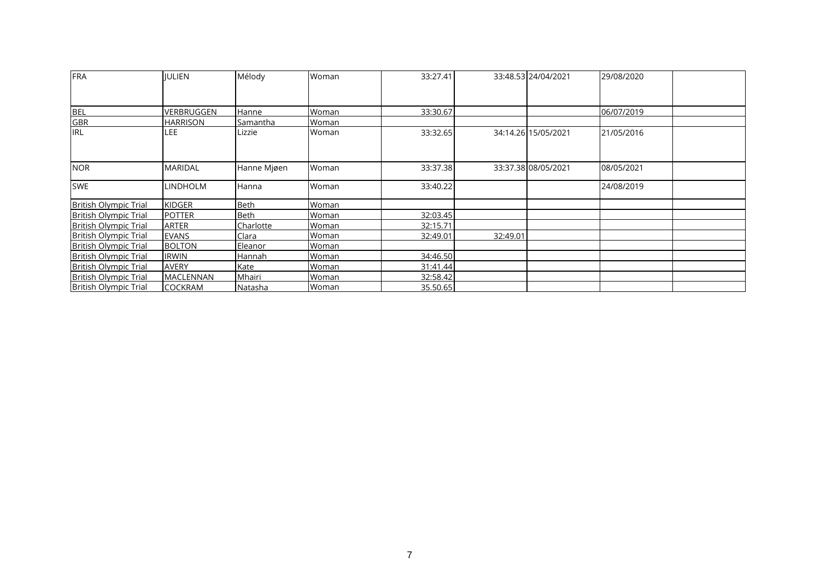| <b>FRA</b>                   | <b>IULIEN</b>    | Mélody      | Woman | 33:27.41 |          | 33:48.53 24/04/2021 | 29/08/2020 |  |
|------------------------------|------------------|-------------|-------|----------|----------|---------------------|------------|--|
|                              |                  |             |       |          |          |                     |            |  |
| <b>BEL</b>                   | VERBRUGGEN       | Hanne       | Woman | 33:30.67 |          |                     | 06/07/2019 |  |
| <b>GBR</b>                   | <b>HARRISON</b>  | Samantha    | Woman |          |          |                     |            |  |
| <b>I</b> IRL                 | LEE              | Lizzie      | Woman | 33:32.65 |          | 34:14.26 15/05/2021 | 21/05/2016 |  |
| <b>NOR</b>                   | <b>MARIDAL</b>   | Hanne Mjøen | Woman | 33:37.38 |          | 33:37.38 08/05/2021 | 08/05/2021 |  |
| <b>SWE</b>                   | <b>LINDHOLM</b>  | Hanna       | Woman | 33:40.22 |          |                     | 24/08/2019 |  |
| <b>British Olympic Trial</b> | <b>KIDGER</b>    | Beth        | Woman |          |          |                     |            |  |
| <b>British Olympic Trial</b> | <b>POTTER</b>    | <b>Beth</b> | Woman | 32:03.45 |          |                     |            |  |
| <b>British Olympic Trial</b> | <b>ARTER</b>     | Charlotte   | Woman | 32:15.71 |          |                     |            |  |
| <b>British Olympic Trial</b> | <b>EVANS</b>     | Clara       | Woman | 32:49.01 | 32:49.01 |                     |            |  |
| <b>British Olympic Trial</b> | <b>BOLTON</b>    | Eleanor     | Woman |          |          |                     |            |  |
| <b>British Olympic Trial</b> | <b>IRWIN</b>     | Hannah      | Woman | 34:46.50 |          |                     |            |  |
| <b>British Olympic Trial</b> | <b>AVERY</b>     | Kate        | Woman | 31:41.44 |          |                     |            |  |
| <b>British Olympic Trial</b> | <b>MACLENNAN</b> | Mhairi      | Woman | 32:58.42 |          |                     |            |  |
| <b>British Olympic Trial</b> | <b>COCKRAM</b>   | Natasha     | Woman | 35.50.65 |          |                     |            |  |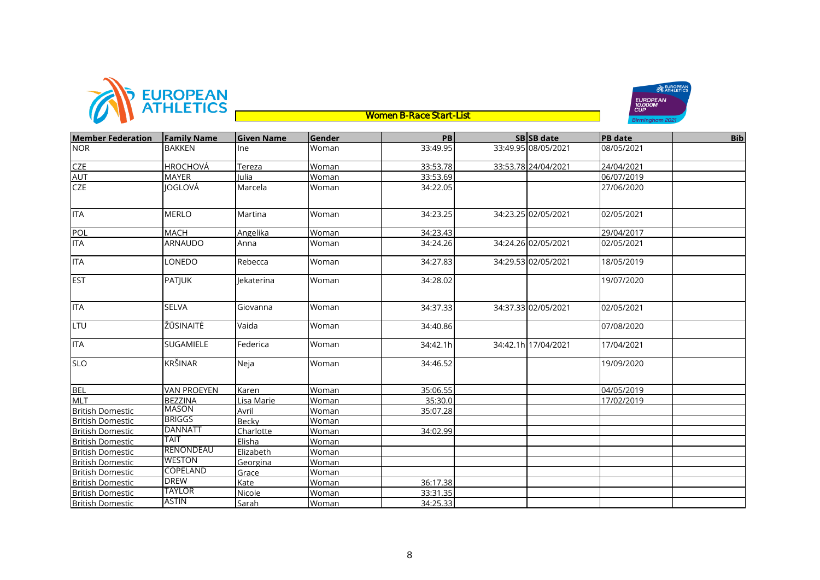



| <b>Member Federation</b> | <b>Family Name</b> | <b>Given Name</b> | Gender       | PB       | SB SB date          | <b>PB</b> date | <b>Bib</b> |
|--------------------------|--------------------|-------------------|--------------|----------|---------------------|----------------|------------|
| <b>NOR</b>               | <b>BAKKEN</b>      | <b>Ine</b>        | Woman        | 33:49.95 | 33:49.95 08/05/2021 | 08/05/2021     |            |
| <b>CZE</b>               | <b>HROCHOVÁ</b>    | Tereza            | Woman        | 33:53.78 | 33:53.78 24/04/2021 | 24/04/2021     |            |
| <b>AUT</b>               | <b>MAYER</b>       | Julia             | Woman        | 33:53.69 |                     | 06/07/2019     |            |
| <b>CZE</b>               | JOGLOVÁ            | Marcela           | Woman        | 34:22.05 |                     | 27/06/2020     |            |
| <b>ITA</b>               | <b>MERLO</b>       | Martina           | Woman        | 34:23.25 | 34:23.25 02/05/2021 | 02/05/2021     |            |
| POL                      | <b>MACH</b>        | Angelika          | Woman        | 34:23.43 |                     | 29/04/2017     |            |
| <b>ITA</b>               | <b>ARNAUDO</b>     | Anna              | Woman        | 34:24.26 | 34:24.26 02/05/2021 | 02/05/2021     |            |
| <b>ITA</b>               | LONEDO             | Rebecca           | Woman        | 34:27.83 | 34:29.53 02/05/2021 | 18/05/2019     |            |
| <b>EST</b>               | <b>PATJUK</b>      | lekaterina        | Woman        | 34:28.02 |                     | 19/07/2020     |            |
| <b>ITA</b>               | <b>SELVA</b>       | Giovanna          | Woman        | 34:37.33 | 34:37.33 02/05/2021 | 02/05/2021     |            |
| LTU                      | ŽŪSINAITĖ          | Vaida             | Woman        | 34:40.86 |                     | 07/08/2020     |            |
| <b>ITA</b>               | <b>SUGAMIELE</b>   | Federica          | Woman        | 34:42.1h | 34:42.1h 17/04/2021 | 17/04/2021     |            |
| <b>SLO</b>               | <b>KRŠINAR</b>     | Neja              | Woman        | 34:46.52 |                     | 19/09/2020     |            |
| <b>BEL</b>               | <b>VAN PROEYEN</b> | Karen             | Woman        | 35:06.55 |                     | 04/05/2019     |            |
| <b>MLT</b>               | <b>BEZZINA</b>     | Lisa Marie        | Woman        | 35:30.0  |                     | 17/02/2019     |            |
| <b>British Domestic</b>  | <b>MASON</b>       | Avril             | Woman        | 35:07.28 |                     |                |            |
| <b>British Domestic</b>  | <b>BRIGGS</b>      | Becky             | Woman        |          |                     |                |            |
| <b>British Domestic</b>  | <b>DANNATT</b>     | Charlotte         | Woman        | 34:02.99 |                     |                |            |
| <b>British Domestic</b>  | TAIT               | Elisha            | Woman        |          |                     |                |            |
| <b>British Domestic</b>  | <b>RENONDEAU</b>   | Elizabeth         | Woman        |          |                     |                |            |
| <b>British Domestic</b>  | <b>WESTON</b>      | Georgina          | Woman        |          |                     |                |            |
| <b>British Domestic</b>  | COPELAND           | Grace             | Woman        |          |                     |                |            |
| <b>British Domestic</b>  | <b>DREW</b>        | Kate              | <b>Woman</b> | 36:17.38 |                     |                |            |
| <b>British Domestic</b>  | TAYLOR             | <b>Nicole</b>     | Woman        | 33:31.35 |                     |                |            |
| <b>British Domestic</b>  | <b>ASTIN</b>       | Sarah             | Woman        | 34:25.33 |                     |                |            |